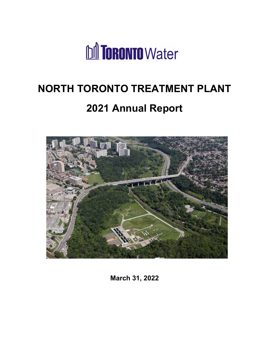

# **NORTH TORONTO TREATMENT PLANT 2021 Annual Report**



**March 31, 2022**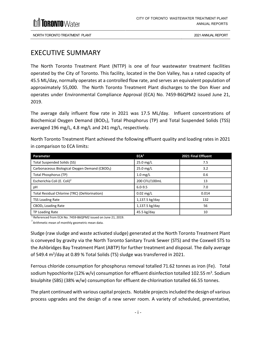

### <span id="page-1-0"></span>EXECUTIVE SUMMARY

The North Toronto Treatment Plant (NTTP) is one of four wastewater treatment facilities operated by the City of Toronto. This facility, located in the Don Valley, has a rated capacity of 45.5 ML/day, normally operates at a controlled flow rate, and serves an equivalent population of approximately 55,000. The North Toronto Treatment Plant discharges to the Don River and operates under Environmental Compliance Approval (ECA) No. 7459-B6QPM2 issued June 21, 2019.

The average daily influent flow rate in 2021 was 17.5 ML/day. Influent concentrations of Biochemical Oxygen Demand (BOD5), Total Phosphorus (TP) and Total Suspended Solids (TSS) averaged 196 mg/L, 4.8 mg/L and 241 mg/L, respectively.

North Toronto Treatment Plant achieved the following effluent quality and loading rates in 2021 in comparison to ECA limits:

| Parameter                                                  | ECA <sup>1</sup> | 2021 Final Effluent |
|------------------------------------------------------------|------------------|---------------------|
| <b>Total Suspended Solids (SS)</b>                         | 25.0 mg/L        | 7.5                 |
| Carbonaceous Biological Oxygen Demand (CBOD <sub>5</sub> ) | 25.0 mg/L        | 3.2                 |
| <b>Total Phosphorus (TP)</b>                               | $1.0$ mg/L       | 0.6                 |
| Escherichia Coli (E. Coli) <sup>2</sup>                    | 200 CFU/100mL    | 13                  |
| рH                                                         | $6.0 - 9.5$      | 7.0                 |
| Total Residual Chlorine (TRC) (Dehlorination)              | $0.02$ mg/L      | 0.014               |
| <b>TSS Loading Rate</b>                                    | 1,137.5 kg/day   | 132                 |
| CBOD <sub>5</sub> Loading Rate                             | 1,137.5 kg/day   | 56                  |
| TP Loading Rate                                            | 45.5 kg/day      | 10                  |

<sup>1</sup> Referenced from ECA No. 7459-B6QPM2 issued on June 21, 2019.

 $2^{2}$  Arithmetic mean of monthly geometric mean data.

Sludge (raw sludge and waste activated sludge) generated at the North Toronto Treatment Plant is conveyed by gravity via the North Toronto Sanitary Trunk Sewer (STS) and the Coxwell STS to the Ashbridges Bay Treatment Plant (ABTP) for further treatment and disposal. The daily average of 549.4 m<sup>3</sup>/day at 0.89 % Total Solids (TS) sludge was transferred in 2021.

Ferrous chloride consumption for phosphorus removal totalled 71.62 tonnes as iron (Fe). Total sodium hypochlorite (12% w/v) consumption for effluent disinfection totalled 102.55  $\text{m}^{3}$ . Sodium bisulphite (SBS) (38% w/w) consumption for effluent de-chlorination totalled 66.55 tonnes.

The plant continued with various capital projects. Notable projects included the design of various process upgrades and the design of a new server room. A variety of scheduled, preventative,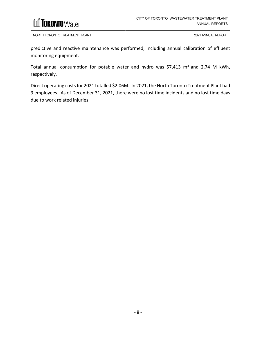

predictive and reactive maintenance was performed, including annual calibration of effluent monitoring equipment.

Total annual consumption for potable water and hydro was 57,413  $m<sup>3</sup>$  and 2.74 M kWh, respectively.

Direct operating costs for 2021 totalled \$2.06M. In 2021, the North Toronto Treatment Plant had 9 employees. As of December 31, 2021, there were no lost time incidents and no lost time days due to work related injuries.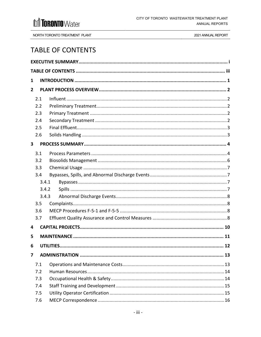

NORTH TORONTO TREATMENT PLANT

2021 ANNUAL REPORT

### <span id="page-3-0"></span>**TABLE OF CONTENTS**

| 1                       |       |  |
|-------------------------|-------|--|
| $\overline{2}$          |       |  |
|                         | 2.1   |  |
|                         | 2.2   |  |
|                         | 2.3   |  |
|                         | 2.4   |  |
|                         | 2.5   |  |
|                         | 2.6   |  |
| $\overline{\mathbf{3}}$ |       |  |
|                         | 3.1   |  |
|                         | 3.2   |  |
|                         | 3.3   |  |
|                         | 3.4   |  |
|                         | 3.4.1 |  |
|                         | 3.4.2 |  |
|                         | 3.4.3 |  |
|                         | 3.5   |  |
|                         | 3.6   |  |
|                         | 3.7   |  |
| 4                       |       |  |
| 5                       |       |  |
| 6                       |       |  |
| 7                       |       |  |
|                         | 7.1   |  |
|                         | 7.2   |  |
|                         | 7.3   |  |
|                         | 7.4   |  |
|                         | 7.5   |  |
|                         | 7.6   |  |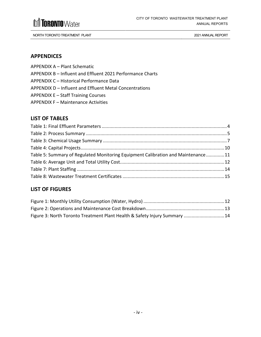

### **APPENDICES**

- [APPENDIX A Plant Schematic](#page-23-0)
- [APPENDIX B Influent and Effluent 2021 Performance Charts](#page-25-0)
- [APPENDIX C Historical Performance Data](#page-28-0)
- [APPENDIX D Influent and Effluent Metal Concentrations](#page-31-0)
- [APPENDIX E Staff Training Courses](#page-34-0)
- [APPENDIX F Maintenance Activities](#page-37-0)

### **LIST OF TABLES**

| Table 5: Summary of Regulated Monitoring Equipment Calibration and Maintenance11 |  |
|----------------------------------------------------------------------------------|--|
|                                                                                  |  |
|                                                                                  |  |
|                                                                                  |  |

### **LIST OF FIGURES**

| Figure 3: North Toronto Treatment Plant Health & Safety Injury Summary  14 |  |
|----------------------------------------------------------------------------|--|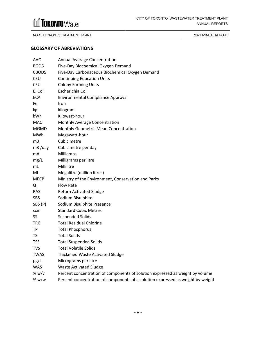

#### **GLOSSARY OF ABREVIATIONS**

| AAC              | <b>Annual Average Concentration</b>                                             |
|------------------|---------------------------------------------------------------------------------|
| BOD <sub>5</sub> | Five-Day Biochemical Oxygen Demand                                              |
| CBOD5            | Five-Day Carbonaceous Biochemical Oxygen Demand                                 |
| <b>CEU</b>       | <b>Continuing Education Units</b>                                               |
| <b>CFU</b>       | <b>Colony Forming Units</b>                                                     |
| E. Coli          | Escherichia Coli                                                                |
| <b>ECA</b>       | <b>Environmental Compliance Approval</b>                                        |
| Fe               | Iron                                                                            |
| kg               | kilogram                                                                        |
| kWh              | Kilowatt-hour                                                                   |
| <b>MAC</b>       | Monthly Average Concentration                                                   |
| <b>MGMD</b>      | Monthly Geometric Mean Concentration                                            |
| MWh              | Megawatt-hour                                                                   |
| m <sub>3</sub>   | Cubic metre                                                                     |
| $m3$ /day        | Cubic metre per day                                                             |
| mA               | Milliamps                                                                       |
| mg/L             | Milligrams per litre                                                            |
| mL               | Millilitre                                                                      |
| ML               | Megalitre (million litres)                                                      |
| <b>MECP</b>      | Ministry of the Environment, Conservation and Parks                             |
| Q                | <b>Flow Rate</b>                                                                |
| <b>RAS</b>       | <b>Return Activated Sludge</b>                                                  |
| <b>SBS</b>       | Sodium Bisulphite                                                               |
| SBS (P)          | Sodium Bisulphite Presence                                                      |
| scm              | <b>Standard Cubic Metres</b>                                                    |
| SS               | <b>Suspended Solids</b>                                                         |
| <b>TRC</b>       | <b>Total Residual Chlorine</b>                                                  |
| TP.              | <b>Total Phosphorus</b>                                                         |
| <b>TS</b>        | <b>Total Solids</b>                                                             |
| <b>TSS</b>       | <b>Total Suspended Solids</b>                                                   |
| <b>TVS</b>       | <b>Total Volatile Solids</b>                                                    |
| TWAS             | <b>Thickened Waste Activated Sludge</b>                                         |
| $\mu$ g/L        | Micrograms per litre                                                            |
| <b>WAS</b>       | <b>Waste Activated Sludge</b>                                                   |
| % w/v            | Percent concentration of components of solution expressed as weight by volume   |
| % w/w            | Percent concentration of components of a solution expressed as weight by weight |
|                  |                                                                                 |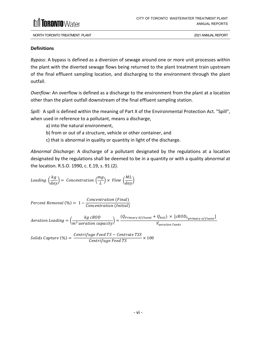

### **Definitions**

*Bypass:* A bypass is defined as a diversion of sewage around one or more unit processes within the plant with the diverted sewage flows being returned to the plant treatment train upstream of the final effluent sampling location, and discharging to the environment through the plant outfall.

*Overflow:* An overflow is defined as a discharge to the environment from the plant at a location other than the plant outfall downstream of the final effluent sampling station.

*Spill:* A spill is defined within the meaning of Part X of the Environmental Protection Act. "Spill", when used in reference to a pollutant, means a discharge,

- a) into the natural environment,
- b) from or out of a structure, vehicle or other container, and
- c) that is abnormal in quality or quantity in light of the discharge.

*Abnormal Discharge:* A discharge of a pollutant designated by the regulations at a location designated by the regulations shall be deemed to be in a quantity or with a quality abnormal at the location. R.S.O. 1990, c. E.19, s. 91 (2).

$$
loading\left(\frac{kg}{day}\right) = \text{Concentration}\left(\frac{mg}{L}\right) \times Flow\left(\frac{ML}{day}\right)
$$

Percent Removal (%) =  $1 - \frac{Concentration(Final)}{G(1 + \frac{1}{2})}$ Concentration (Initial)

 $\emph{Aeration loading} = \Big(\frac{kg\ cBOD}{m^3\ aeration\ capacity}\Big) = \frac{(Q_{Primary\ Effluent} + Q_{RAS}) \times [cBOD_{5\ primary\ effluent}]}{V_{aeration\ Tanks}}$ 

 $\emph{Solids}$  Capture (%) =  $\frac{\emph{Centrifuge}$  Feed TS  $-$  Centrate TSS  $\times$  100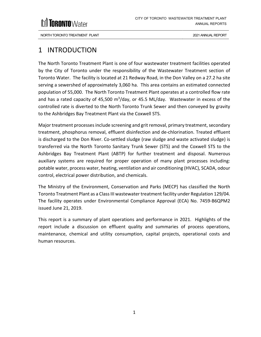

### <span id="page-7-0"></span>1 INTRODUCTION

The North Toronto Treatment Plant is one of four wastewater treatment facilities operated by the City of Toronto under the responsibility of the Wastewater Treatment section of Toronto Water. The facility is located at 21 Redway Road, in the Don Valley on a 27.2 ha site serving a sewershed of approximately 3,060 ha. This area contains an estimated connected population of 55,000. The North Toronto Treatment Plant operates at a controlled flow rate and has a rated capacity of 45,500  $m^3$ /day, or 45.5 ML/day. Wastewater in excess of the controlled rate is diverted to the North Toronto Trunk Sewer and then conveyed by gravity to the Ashbridges Bay Treatment Plant via the Coxwell STS.

Major treatment processes include screening and grit removal, primary treatment, secondary treatment, phosphorus removal, effluent disinfection and de-chlorination. Treated effluent is discharged to the Don River. Co-settled sludge (raw sludge and waste activated sludge) is transferred via the North Toronto Sanitary Trunk Sewer (STS) and the Coxwell STS to the Ashbridges Bay Treatment Plant (ABTP) for further treatment and disposal. Numerous auxiliary systems are required for proper operation of many plant processes including: potable water, process water, heating, ventilation and air conditioning (HVAC), SCADA, odour control, electrical power distribution, and chemicals.

The Ministry of the Environment, Conservation and Parks (MECP) has classified the North Toronto Treatment Plant as a Class III wastewater treatment facility under Regulation 129/04. The facility operates under Environmental Compliance Approval (ECA) No. 7459-B6QPM2 issued June 21, 2019.

This report is a summary of plant operations and performance in 2021. Highlights of the report include a discussion on effluent quality and summaries of process operations, maintenance, chemical and utility consumption, capital projects, operational costs and human resources.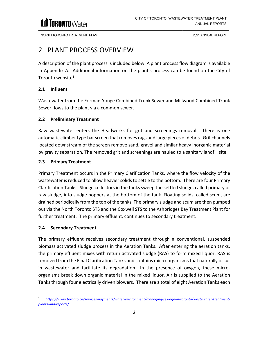### <span id="page-8-0"></span>2 PLANT PROCESS OVERVIEW

A description of the plant process is included below. A plant process flow diagram is available in Appendix A. Additional information on the plant's process can be found on the City of Toronto website $^1$ .

### <span id="page-8-1"></span>**2.1 Influent**

Wastewater from the Forman-Yonge Combined Trunk Sewer and Millwood Combined Trunk Sewer flows to the plant via a common sewer.

### <span id="page-8-2"></span>**2.2 Preliminary Treatment**

Raw wastewater enters the Headworks for grit and screenings removal. There is one automatic climber type bar screen that removes rags and large pieces of debris. Grit channels located downstream of the screen remove sand, gravel and similar heavy inorganic material by gravity separation. The removed grit and screenings are hauled to a sanitary landfill site.

### <span id="page-8-3"></span>**2.3 Primary Treatment**

Primary Treatment occurs in the Primary Clarification Tanks, where the flow velocity of the wastewater is reduced to allow heavier solids to settle to the bottom. There are four Primary Clarification Tanks. Sludge collectors in the tanks sweep the settled sludge, called primary or raw sludge, into sludge hoppers at the bottom of the tank. Floating solids, called scum, are drained periodically from the top of the tanks. The primary sludge and scum are then pumped out via the North Toronto STS and the Coxwell STS to the Ashbridges Bay Treatment Plant for further treatment. The primary effluent, continues to secondary treatment.

### <span id="page-8-4"></span>**2.4 Secondary Treatment**

The primary effluent receives secondary treatment through a conventional, suspended biomass activated sludge process in the Aeration Tanks. After entering the aeration tanks, the primary effluent mixes with return activated sludge (RAS) to form mixed liquor. RAS is removed from the Final Clarification Tanks and contains micro-organisms that naturally occur in wastewater and facilitate its degradation. In the presence of oxygen, these microorganisms break down organic material in the mixed liquor. Air is supplied to the Aeration Tanks through four electrically driven blowers. There are a total of eight Aeration Tanks each

<sup>1</sup> *[https://www.toronto.ca/services-payments/water-environment/managing-sewage-in-toronto/wastewater-treatment](https://www.toronto.ca/services-payments/water-environment/managing-sewage-in-toronto/wastewater-treatment-plants-and-reports/)plants-and-reports/*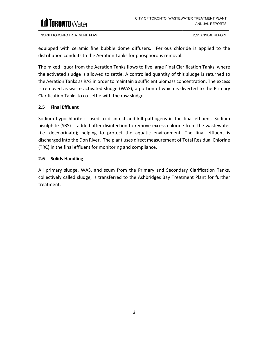

equipped with ceramic fine bubble dome diffusers. Ferrous chloride is applied to the distribution conduits to the Aeration Tanks for phosphorous removal.

The mixed liquor from the Aeration Tanks flows to five large Final Clarification Tanks, where the activated sludge is allowed to settle. A controlled quantity of this sludge is returned to the Aeration Tanks as RAS in order to maintain a sufficient biomass concentration. The excess is removed as waste activated sludge (WAS), a portion of which is diverted to the Primary Clarification Tanks to co-settle with the raw sludge.

### <span id="page-9-0"></span>**2.5 Final Effluent**

Sodium hypochlorite is used to disinfect and kill pathogens in the final effluent. Sodium bisulphite (SBS) is added after disinfection to remove excess chlorine from the wastewater (i.e. dechlorinate); helping to protect the aquatic environment. The final effluent is discharged into the Don River. The plant uses direct measurement of Total Residual Chlorine (TRC) in the final effluent for monitoring and compliance.

### <span id="page-9-1"></span>**2.6 Solids Handling**

All primary sludge, WAS, and scum from the Primary and Secondary Clarification Tanks, collectively called sludge, is transferred to the Ashbridges Bay Treatment Plant for further treatment.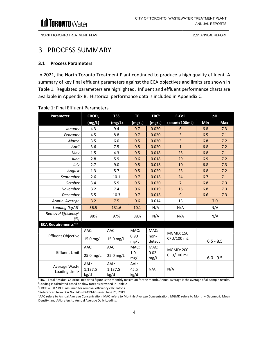

### <span id="page-10-0"></span>3 PROCESS SUMMARY

### <span id="page-10-1"></span>**3.1 Process Parameters**

In 2021, the North Toronto Treatment Plant continued to produce a high quality effluent. A summary of key final effluent parameters against the ECA objectives and limits are shown in Table 1. Regulated parameters are highlighted. Influent and effluent performance charts are available in Appendix B. Historical performance data is included in Appendix C.

| Parameter                              | CBOD <sub>5</sub> | <b>TSS</b>      | <b>TP</b>     | TRC <sup>1</sup> | E-Coli           | pH          |             |
|----------------------------------------|-------------------|-----------------|---------------|------------------|------------------|-------------|-------------|
|                                        | (mg/L)            | (mg/L)          | (mg/L)        | (mg/L)           | (count/100mL)    | Min         | Max         |
| January                                | 4.3               | 9.4             | 0.7           | 0.020            | 6                | 6.8         | 7.3         |
| February                               | 4.5               | 8.8             | 0.7           | 0.020            | 3                | 6.5         | 7.1         |
| March                                  | 3.5               | 6.0             | 0.5           | 0.020            | 3                | 6.8         | 7.2         |
| April                                  | 3.6               | 7.5             | 0.5           | 0.020            | $\mathbf{1}$     | 6.8         | 7.2         |
| May                                    | 1.5               | 4.3             | 0.5           | 0.018            | 25               | 6.8         | 7.1         |
| June                                   | 2.8               | 5.9             | 0.6           | 0.018            | 29               | 6.9         | 7.2         |
| July                                   | 2.7               | 9.0             | 0.5           | 0.018            | 10               | 6.8         | 7.3         |
| August                                 | 1.3               | 5.7             | 0.5           | 0.020            | 23               | 6.8         | 7.2         |
| September                              | 2.6               | $10.1\,$        | 0.7           | 0.018            | 24               | 6.7         | 7.1         |
| October                                | 3.4               | 5.9             | 0.5           | 0.020            | $\overline{7}$   | 6.8         | 7.3         |
| November                               | 3.2               | 7.4             | 0.6           | 0.019            | 15               | 6.8         | 7.3         |
| December                               | 5.5               | 10.3            | 0.7           | 0.018            | 9                | 6.6         | 7.3         |
| Annual Average                         | 3.2               | 7.5             | 0.6           | 0.014            | 13               | 7.0         |             |
| Loading (kg/d) <sup>2</sup>            | 56.5              | 131.6           | 10.1          | N/A              | N/A              | N/A         |             |
| Removal Efficiency <sup>3</sup><br>(%) | 98%               | 97%             | 88%           | N/A              | N/A<br>N/A       |             |             |
| <b>ECA Requirements<sup>,4,5</sup></b> |                   |                 |               |                  |                  |             |             |
|                                        | AAC:              | AAC:            | MAC:          | MAC:             | <b>MGMD: 150</b> |             |             |
| <b>Effluent Objective</b>              | 15.0 mg/L         | 15.0 mg/L       | 0.90<br>mg/L  | non-<br>detect   | CFU/100 mL       |             | $6.5 - 8.5$ |
|                                        | AAC:              | AAC:            | MAC:          | MAC:             | <b>MGMD: 200</b> |             |             |
| <b>Effluent Limit</b>                  | 25.0 mg/L         | 25.0 mg/L       | $1.0$<br>mg/L | 0.02<br>mg/L     | CFU/100 mL       | $6.0 - 9.5$ |             |
| Average Waste                          | AAL:              | AAL:            | AAL:          |                  |                  |             |             |
| Loading Limit <sup>2</sup>             | 1,137.5<br>kg/d   | 1,137.5<br>kg/d | 45.5<br>kg/d  | N/A              | N/A              |             |             |

#### <span id="page-10-2"></span>Table 1: Final Effluent Parameters

1 TRC – Total Residual Chlorine. Reported figure is the monthly maximum for the month. Annual Average is the average of all sample results. 2 Loading is calculated based on flow rates as provided in Table 2

 $3$ CBOD = 0.8  $*$  BOD assumed for removal efficiency calculatons

<sup>4</sup>Referenced from ECA No. 7459-B6QPM2 issued June 21, 2019.

<sup>5</sup>AAC refers to Annual Average Concentration, MAC refers to Monthly Average Concentration, MGMD refers to Monthly Geometric Mean Density, and AAL refers to Annual Average Daily Loading.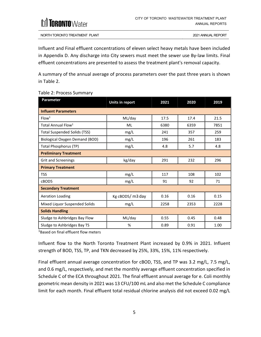

Influent and Final effluent concentrations of eleven select heavy metals have been included in Appendix D. Any discharge into City sewers must meet the sewer use By-law limits. Final effluent concentrations are presented to assess the treatment plant's removal capacity.

A summary of the annual average of process parameters over the past three years is shown in Table 2.

<span id="page-11-0"></span>

|  |  |  | Table 2: Process Summary |
|--|--|--|--------------------------|
|--|--|--|--------------------------|

| Parameter                             | Units in report  | 2021 | 2020 | 2019 |
|---------------------------------------|------------------|------|------|------|
| <b>Influent Parameters</b>            |                  |      |      |      |
| Flow <sup>1</sup>                     | ML/day           | 17.5 | 17.4 | 21.5 |
| Total Annual Flow <sup>1</sup>        | ML               | 6380 | 6359 | 7851 |
| <b>Total Suspended Solids (TSS)</b>   | mg/L             | 241  | 357  | 259  |
| Biological Oxygen Demand (BOD)        | mg/L             | 196  | 261  | 183  |
| <b>Total Phosphorus (TP)</b>          | mg/L             | 4.8  | 5.7  | 4.8  |
| <b>Preliminary Treatment</b>          |                  |      |      |      |
| <b>Grit and Screenings</b>            | kg/day           | 291  | 232  | 296  |
| <b>Primary Treatment</b>              |                  |      |      |      |
| <b>TSS</b>                            | mg/L             | 117  | 108  | 102  |
| cBOD5<br>mg/L                         |                  | 91   | 92   | 71   |
| <b>Secondary Treatment</b>            |                  |      |      |      |
| <b>Aeration Loading</b>               | Kg cBOD5/ m3 day | 0.16 | 0.16 | 0.15 |
| Mixed Liquor Suspended Solids<br>mg/L |                  | 2258 | 2353 | 2228 |
| <b>Solids Handling</b>                |                  |      |      |      |
| Sludge to Ashbridges Bay Flow         | ML/day           | 0.55 | 0.45 | 0.48 |
| Sludge to Ashbridges Bay TS           | %                | 0.89 | 0.91 | 1.00 |

<sup>1</sup>Based on final effluent flow meters

Influent flow to the North Toronto Treatment Plant increased by 0.9% in 2021. Influent strength of BOD, TSS, TP, and TKN decreased by 25%, 33%, 15%, 11% respectively.

Final effluent annual average concentration for cBOD, TSS, and TP was 3.2 mg/L, 7.5 mg/L, and 0.6 mg/L, respectively, and met the monthly average effluent concentration specified in Schedule C of the ECA throughout 2021. The final effluent annual average for e. Coli monthly geometric mean density in 2021 was 13 CFU/100 mL and also met the Schedule C compliance limit for each month. Final effluent total residual chlorine analysis did not exceed 0.02 mg/L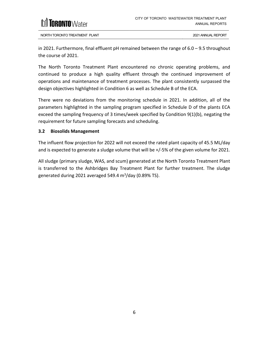## **[ORONTO**Water

NORTH TORONTO TREATMENT PLANT 2021 ANNUAL REPORT

in 2021. Furthermore, final effluent pH remained between the range of 6.0 – 9.5 throughout the course of 2021.

The North Toronto Treatment Plant encountered no chronic operating problems, and continued to produce a high quality effluent through the continued improvement of operations and maintenance of treatment processes. The plant consistently surpassed the design objectives highlighted in Condition 6 as well as Schedule B of the ECA.

There were no deviations from the monitoring schedule in 2021. In addition, all of the parameters highlighted in the sampling program specified in Schedule D of the plants ECA exceed the sampling frequency of 3 times/week specified by Condition 9(1)(b), negating the requirement for future sampling forecasts and scheduling.

### <span id="page-12-0"></span>**3.2 Biosolids Management**

The influent flow projection for 2022 will not exceed the rated plant capacity of 45.5 ML/day and is expected to generate a sludge volume that will be +/-5% of the given volume for 2021.

All sludge (primary sludge, WAS, and scum) generated at the North Toronto Treatment Plant is transferred to the Ashbridges Bay Treatment Plant for further treatment. The sludge generated during 2021 averaged 549.4 m<sup>3</sup>/day (0.89% TS).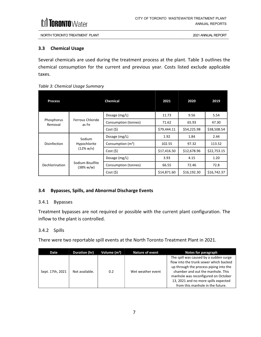

#### <span id="page-13-0"></span>**3.3 Chemical Usage**

Several chemicals are used during the treatment process at the plant. Table 3 outlines the chemical consumption for the current and previous year. Costs listed exclude applicable taxes.

<span id="page-13-4"></span>

| <b>Process</b>        |                                                | <b>Chemical</b>      | 2021        | 2020        | 2019        |
|-----------------------|------------------------------------------------|----------------------|-------------|-------------|-------------|
|                       |                                                | Dosage (mg/L)        | 11.73       | 9.56        | 5.54        |
| Phosphorus<br>Removal | Ferrous Chloride<br>as Fe                      | Consumption (tonnes) | 71.62       | 65.93       | 47.30       |
|                       |                                                | Cost(S)              | \$79,444.11 | \$54,225.98 | \$38,508.54 |
| Disinfection          | Sodium<br>Hypochlorite<br>$(12\% \text{ w/v})$ | Dosage (mg/L)        | 1.92        | 1.84        | 2.44        |
|                       |                                                | Consumption $(m^3)$  | 102.55      | 97.32       | 113.52      |
|                       |                                                | Cost(5)              | \$17,416.50 | \$12,678.96 | \$22,753.15 |
| Dechlorination        | Sodium Bisulfite<br>$(38\% \text{ w/w})$       | Dosage (mg/L)        | 3.93        | 4.15        | 1.20        |
|                       |                                                | Consumption (tonnes) | 66.55       | 72.46       | 72.8        |
|                       |                                                | Cost(5)              | \$14,871.60 | \$16,192.30 | \$16,742.37 |

### <span id="page-13-1"></span>**3.4 Bypasses, Spills, and Abnormal Discharge Events**

### <span id="page-13-2"></span>3.4.1 Bypasses

Treatment bypasses are not required or possible with the current plant configuration. The inflow to the plant is controlled.

### <span id="page-13-3"></span>3.4.2 Spills

There were two reportable spill events at the North Toronto Treatment Plant in 2021.

| Date             | Duration (hr)  | Volume $(m^3)$ | Nature of event   | Notes for paragraph                                                                                                                                                                                                                                                                |
|------------------|----------------|----------------|-------------------|------------------------------------------------------------------------------------------------------------------------------------------------------------------------------------------------------------------------------------------------------------------------------------|
| Sept. 17th, 2021 | Not available. | 0.2            | Wet weather event | The spill was caused by a sudden surge<br>flow into the trunk sewer which backed<br>up through the process piping into the<br>chamber and out the manhole. This<br>manhole was reconfigured on October<br>13, 2021 and no more spills expected<br>from this manhole in the future. |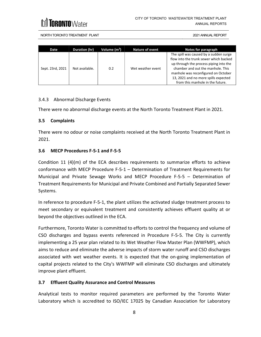| Date             | Duration (hr)  | Volume $(m^3)$ | Nature of event   | Notes for paragraph                                                                                                                                                                                                                                                                |
|------------------|----------------|----------------|-------------------|------------------------------------------------------------------------------------------------------------------------------------------------------------------------------------------------------------------------------------------------------------------------------------|
| Sept. 23rd, 2021 | Not available. | 0.2            | Wet weather event | The spill was caused by a sudden surge<br>flow into the trunk sewer which backed<br>up through the process piping into the<br>chamber and out the manhole. This<br>manhole was reconfigured on October<br>13, 2021 and no more spills expected<br>from this manhole in the future. |

### <span id="page-14-0"></span>3.4.3 Abnormal Discharge Events

There were no abnormal discharge events at the North Toronto Treatment Plant in 2021.

### <span id="page-14-1"></span>**3.5 Complaints**

There were no odour or noise complaints received at the North Toronto Treatment Plant in 2021.

### <span id="page-14-2"></span>**3.6 MECP Procedures F-5-1 and F-5-5**

Condition 11 (4)(m) of the ECA describes requirements to summarize efforts to achieve conformance with MECP Procedure F-5-1 – Determination of Treatment Requirements for Municipal and Private Sewage Works and MECP Procedure F-5-5 – Determination of Treatment Requirements for Municipal and Private Combined and Partially Separated Sewer Systems.

In reference to procedure F-5-1, the plant utilizes the activated sludge treatment process to meet secondary or equivalent treatment and consistently achieves effluent quality at or beyond the objectives outlined in the ECA.

Furthermore, Toronto Water is committed to efforts to control the frequency and volume of CSO discharges and bypass events referenced in Procedure F-5-5. The City is currently implementing a 25 year plan related to its Wet Weather Flow Master Plan (WWFMP), which aims to reduce and eliminate the adverse impacts of storm water runoff and CSO discharges associated with wet weather events. It is expected that the on-going implementation of capital projects related to the City's WWFMP will eliminate CSO discharges and ultimately improve plant effluent.

### <span id="page-14-3"></span>**3.7 Effluent Quality Assurance and Control Measures**

Analytical tests to monitor required parameters are performed by the Toronto Water Laboratory which is accredited to ISO/IEC 17025 by Canadian Association for Laboratory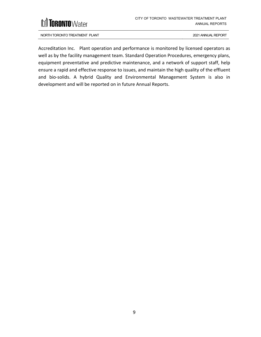

Accreditation Inc. Plant operation and performance is monitored by licensed operators as well as by the facility management team. Standard Operation Procedures, emergency plans, equipment preventative and predictive maintenance, and a network of support staff, help ensure a rapid and effective response to issues, and maintain the high quality of the effluent and bio-solids. A hybrid Quality and Environmental Management System is also in development and will be reported on in future Annual Reports.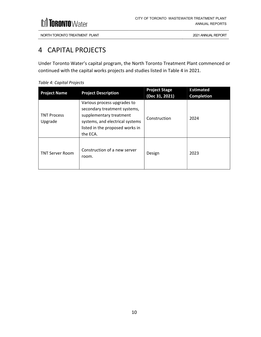### <span id="page-16-0"></span>4 CAPITAL PROJECTS

Under Toronto Water's capital program, the North Toronto Treatment Plant commenced or continued with the capital works projects and studies listed in Table 4 in 2021.

| <b>Project Name</b>           | <b>Project Description</b>                                                                                                                                               | <b>Project Stage</b><br>(Dec 31, 2021) | <b>Estimated</b><br><b>Completion</b> |
|-------------------------------|--------------------------------------------------------------------------------------------------------------------------------------------------------------------------|----------------------------------------|---------------------------------------|
| <b>TNT Process</b><br>Upgrade | Various process upgrades to<br>secondary treatment systems,<br>supplementary treatment<br>systems, and electrical systems<br>listed in the proposed works in<br>the ECA. | Construction                           | 2024                                  |
| <b>TNT Server Room</b>        | Construction of a new server<br>room.                                                                                                                                    | Design                                 | 2023                                  |

#### <span id="page-16-1"></span>*Table 4: Capital Projects*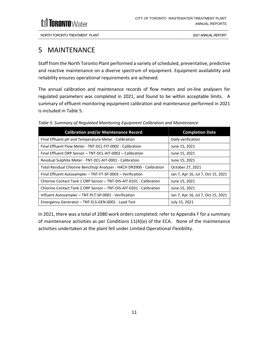

### <span id="page-17-0"></span>5 MAINTENANCE

Staff from the North Toronto Plant performed a variety of scheduled, preventative, predictive and reactive maintenance on a diverse spectrum of equipment. Equipment availability and reliability ensures operational requirements are achieved.

The annual calibration and maintenance records of flow meters and on-line analysers for regulated parameters was completed in 2021, and found to be within acceptable limits. A summary of effluent monitoring equipment calibration and maintenance performed in 2021 is included in Table 5.

| <b>Calibration and/or Maintenance Record</b>                          | <b>Completion Date</b>             |
|-----------------------------------------------------------------------|------------------------------------|
| Final Effluent pH and Temperature Meter - Calibration                 | Daily verification                 |
| Final Effluent Flow Meter - TNT-DCL-FIT-0002 - Calibration            | June 15, 2021                      |
| Final Effluent ORP Sensor - TNT-DCL-AIT-0002 - Calibration            | June 15, 2021                      |
| Residual Sulphite Meter - TNT-DCL-AIT-0001 - Calibration              | June 15, 2021                      |
| Total Residual Chlorine Benchtop Analyzer - HACH DR3900 - Calibration | October 27, 2021                   |
| Final Effluent Autosampler - TNT-FT-SP-0003 - Verification            | Jan 7, Apr 16, Jul 7, Oct 15, 2021 |
| Chlorine Contact Tank 1 ORP Sensor - TNT-DIS-AIT-0101 - Calibration   | June 15, 2021                      |
| Chlorine Contact Tank 2 ORP Sensor - TNT-DIS-AIT-0201 - Calibration   | June 15, 2021                      |
| Influent Autosampler - TNT-PLT-SP-0001 - Verification                 | Jan 7, Apr 16, Jul 7, Oct 15, 2021 |
| Emergency Generator - TNT-ELS-GEN-0001 - Load Test                    | July 15, 2021                      |

<span id="page-17-1"></span>*Table 5: Summary of Regulated Monitoring Equipment Calibration and Maintenance*

In 2021, there was a total of 2080 work orders completed; refer to Appendix F for a summary of maintenance activities as per Conditions 11(4)(e) of the ECA. None of the maintenance activities undertaken at the plant fell under Limited Operational Flexibility.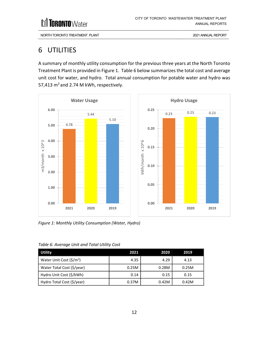M **TORONTO**Water

NORTH TORONTO TREATMENT PLANT 2021 ANNUAL REPORT

### <span id="page-18-0"></span>6 UTILITIES

A summary of monthly utility consumption for the previous three years at the North Toronto Treatment Plant is provided in Figure 1. Table 6 below summarizes the total cost and average unit cost for water, and hydro. Total annual consumption for potable water and hydro was 57,413  $m<sup>3</sup>$  and 2.74 M kWh, respectively.



<span id="page-18-2"></span>*Figure 1: Monthly Utility Consumption (Water, Hydro)*

| <b>Utility</b>                      | 2021  | 2020  | 2019  |
|-------------------------------------|-------|-------|-------|
| Water Unit Cost $(\frac{\xi}{m^3})$ | 4.35  | 4.29  | 4.13  |
| Water Total Cost (\$/year)          | 0.25M | 0.28M | 0.25M |
| Hydro Unit Cost (\$/kWh)            | 0.14  | 0.15  | 0.15  |
| Hydro Total Cost (\$/year)          | 0.37M | 0.42M | 0.42M |

<span id="page-18-1"></span>*Table 6: Average Unit and Total Utility Cost*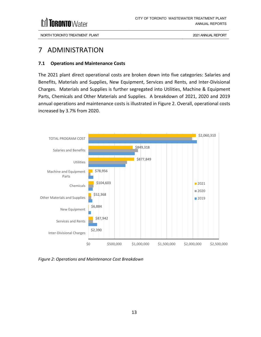

### <span id="page-19-0"></span>7 ADMINISTRATION

### <span id="page-19-1"></span>**7.1 Operations and Maintenance Costs**

The 2021 plant direct operational costs are broken down into five categories: Salaries and Benefits, Materials and Supplies, New Equipment, Services and Rents, and Inter-Divisional Charges. Materials and Supplies is further segregated into Utilities, Machine & Equipment Parts, Chemicals and Other Materials and Supplies. A breakdown of 2021, 2020 and 2019 annual operations and maintenance costs is illustrated in Figure 2. Overall, operational costs increased by 3.7% from 2020.



<span id="page-19-2"></span>*Figure 2: Operations and Maintenance Cost Breakdown*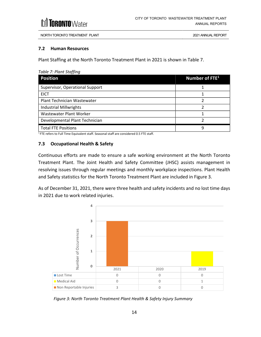

#### <span id="page-20-0"></span>**7.2 Human Resources**

Plant Staffing at the North Toronto Treatment Plant in 2021 is shown in Table 7.

<span id="page-20-5"></span><span id="page-20-2"></span>*Table 7: Plant Staffing*

| <b>Position</b>                 | Number of FTE <sup>1</sup> |
|---------------------------------|----------------------------|
| Supervisor, Operational Support |                            |
| <b>EICT</b>                     |                            |
| Plant Technician Wastewater     |                            |
| <b>Industrial Millwrights</b>   |                            |
| Wastewater Plant Worker         |                            |
| Developmental Plant Technician  |                            |
| <b>Total FTE Positions</b>      | q                          |

<span id="page-20-4"></span> $1$  FTE refers to Full Time Equivalent staff. Seasonal staff are considered 0.5 FTE staff.

#### <span id="page-20-1"></span>**7.3 Occupational Health & Safety**

Continuous efforts are made to ensure a safe working environment at the North Toronto Treatment Plant. The Joint Health and Safety Committee (JHSC) assists management in resolving issues through regular meetings and monthly workplace inspections. Plant Health and Safety statistics for the North Toronto Treatment Plant are included in Figure 3.

As of December 31, 2021, there were three health and safety incidents and no lost time days in 2021 due to work related injuries.



<span id="page-20-3"></span>*Figure 3: North Toronto Treatment Plant Health & Safety Injury Summary*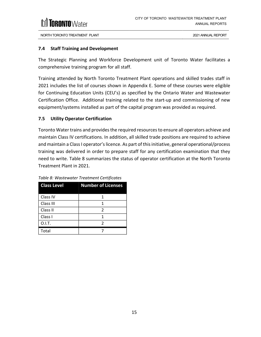

### <span id="page-21-0"></span>**7.4 Staff Training and Development**

The Strategic Planning and Workforce Development unit of Toronto Water facilitates a comprehensive training program for all staff.

Training attended by North Toronto Treatment Plant operations and skilled trades staff in 2021 includes the list of courses shown in Appendix E. Some of these courses were eligible for Continuing Education Units (CEU's) as specified by the Ontario Water and Wastewater Certification Office. Additional training related to the start-up and commissioning of new equipment/systems installed as part of the capital program was provided as required.

### <span id="page-21-1"></span>**7.5 Utility Operator Certification**

Toronto Water trains and provides the required resources to ensure all operators achieve and maintain Class IV certifications. In addition, all skilled trade positions are required to achieve and maintain a Class I operator's licence. As part of this initiative, general operational/process training was delivered in order to prepare staff for any certification examination that they need to write. Table 8 summarizes the status of operator certification at the North Toronto Treatment Plant in 2021.

| <b>Class Level</b> | <b>Number of Licenses</b> |
|--------------------|---------------------------|
| Class IV           |                           |
| Class III          | 1                         |
| Class II           | $\mathfrak{p}$            |
| Class I            | 1                         |
| 0.1.T.             | $\mathfrak z$             |
| Total              |                           |

<span id="page-21-2"></span>*Table 8: Wastewater Treatment Certificates*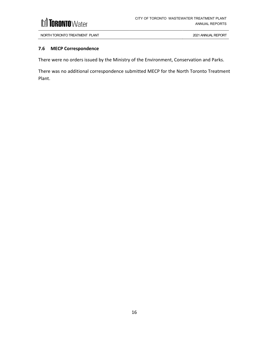

### <span id="page-22-0"></span>**7.6 MECP Correspondence**

There were no orders issued by the Ministry of the Environment, Conservation and Parks.

There was no additional correspondence submitted MECP for the North Toronto Treatment Plant.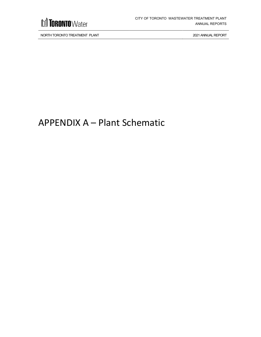

## <span id="page-23-0"></span>APPENDIX A – Plant Schematic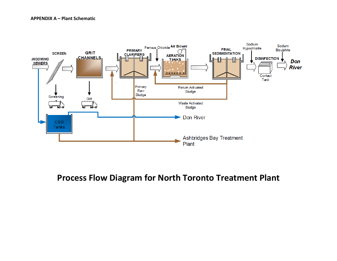

### **Process Flow Diagram for North Toronto Treatment Plant**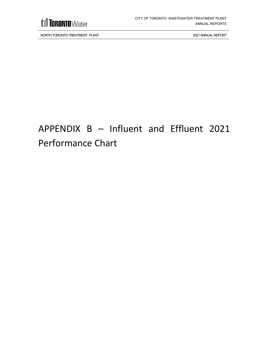

## <span id="page-25-0"></span>APPENDIX B – Influent and Effluent 2021 Performance Chart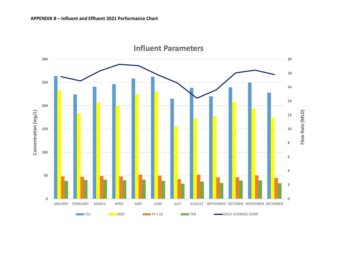

### **Influent Parameters**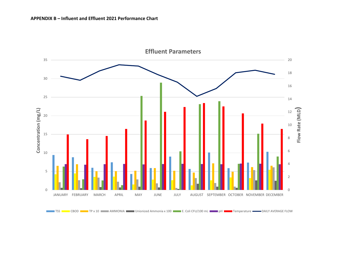

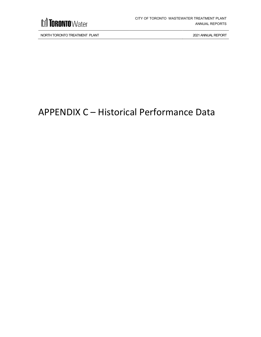

## <span id="page-28-0"></span>APPENDIX C – Historical Performance Data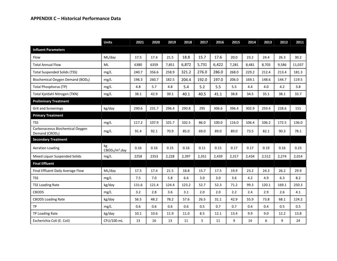|                                                                | <b>Units</b>                                 | 2021  | 2020  | 2019  | 2018  | 2017  | 2016  | 2015  | 2014  | 2013  | 2012  | 2011   |
|----------------------------------------------------------------|----------------------------------------------|-------|-------|-------|-------|-------|-------|-------|-------|-------|-------|--------|
| <b>Influent Parameters</b>                                     |                                              |       |       |       |       |       |       |       |       |       |       |        |
| Flow                                                           | ML/day                                       | 17.5  | 17.4  | 21.5  | 18.8  | 15.7  | 17.6  | 20.0  | 23.2  | 24.4  | 26.3  | 30.2   |
| <b>Total Annual Flow</b>                                       | ML                                           | 6380  | 6359  | 7.851 | 6,872 | 5,731 | 6,422 | 7,281 | 8,481 | 8.703 | 9,586 | 11,037 |
| <b>Total Suspended Solids (TSS)</b>                            | mg/L                                         | 240.7 | 356.6 | 258.9 | 321.2 | 276.0 | 286.0 | 268.0 | 229.2 | 212.4 | 213.4 | 181.3  |
| Biochemical Oxygen Demand (BOD <sub>5</sub> )                  | mg/L                                         | 196.3 | 260.7 | 182.5 | 204.4 | 192.0 | 197.0 | 206.0 | 169.1 | 148.6 | 144.7 | 119.5  |
| <b>Total Phosphorus (TP)</b>                                   | mg/L                                         | 4.8   | 5.7   | 4.8   | 5.4   | 5.2   | 5.5   | 5.5   | 4.4   | 4.0   | 4.2   | 3.8    |
| Total Kjeldahl Nitrogen (TKN)                                  | mg/L                                         | 38.1  | 42.9  | 39.1  | 40.1  | 40.5  | 41.1  | 38.8  | 34.5  | 35.1  | 38.1  | 33.7   |
| <b>Preliminary Treatment</b>                                   |                                              |       |       |       |       |       |       |       |       |       |       |        |
| <b>Grit and Screenings</b>                                     | kg/day                                       | 290.6 | 231.7 | 296.4 | 290.8 | 295   | 306.6 | 396.4 | 302.9 | 259.4 | 228.6 | 151    |
| <b>Primary Treatment</b>                                       |                                              |       |       |       |       |       |       |       |       |       |       |        |
| <b>TSS</b>                                                     | mg/L                                         | 117.2 | 107.9 | 101.7 | 102.5 | 86.0  | 100.0 | 116.0 | 106.4 | 106.2 | 172.5 | 136.0  |
| Carbonaceous Biochemical Oxygen<br>Demand (CBOD <sub>5</sub> ) | mg/L                                         | 91.4  | 92.1  | 70.9  | 85.0  | 69.0  | 89.0  | 89.0  | 73.5  | 82.1  | 90.3  | 78.1   |
| <b>Secondary Treatment</b>                                     |                                              |       |       |       |       |       |       |       |       |       |       |        |
| <b>Aeration Loading</b>                                        | kg<br>CBOD <sub>5</sub> /m <sup>3</sup> .day | 0.16  | 0.16  | 0.15  | 0.16  | 0.11  | 0.15  | 0.17  | 0.17  | 0.19  | 0.16  | 0.23   |
| Mixed Liquor Suspended Solids                                  | mg/L                                         | 2258  | 2353  | 2,228 | 2,397 | 2,351 | 2,439 | 2,317 | 2,434 | 2,512 | 2,274 | 2,014  |
| <b>Final Effluent</b>                                          |                                              |       |       |       |       |       |       |       |       |       |       |        |
| Final Effluent Daily Average Flow                              | ML/day                                       | 17.5  | 17.4  | 21.5  | 18.8  | 15.7  | 17.5  | 19.9  | 23.2  | 24.3  | 26.2  | 29.9   |
| <b>TSS</b>                                                     | mg/L                                         | 7.5   | 7.0   | 5.8   | 6.6   | 3.0   | 3.0   | 3.6   | 4.2   | 4.9   | 6.3   | 8.2    |
| <b>TSS Loading Rate</b>                                        | kg/day                                       | 131.6 | 121.4 | 124.4 | 123.2 | 52.7  | 52.3  | 71.2  | 99.3  | 120.1 | 169.1 | 250.3  |
| CBOD5                                                          | mg/L                                         | 3.2   | 2.8   | 3.6   | 3.1   | 2.0   | 2.0   | 2.2   | 2.4   | 2.9   | 2.6   | 4.1    |
| <b>CBOD5 Loading Rate</b>                                      | kg/day                                       | 56.5  | 48.2  | 78.2  | 57.6  | 26.5  | 31.1  | 42.9  | 55.9  | 73.8  | 68.1  | 124.2  |
| <b>TP</b>                                                      | mg/L                                         | 0.6   | 0.6   | 0.6   | 0.6   | 0.5   | 0.7   | 0.7   | 0.4   | 0.4   | 0.5   | 0.5    |
| TP Loading Rate                                                | kg/day                                       | 10.1  | 10.6  | 11.9  | 11.0  | 8.5   | 12.1  | 13.4  | 9.9   | 9.0   | 12.2  | 13.8   |
| Escherichia Coli (E. Coli)                                     | CFU/100 mL                                   | 13    | 16    | 13    | 11    | 5     | 11    | 9     | 14    | 6     | 9     | 24     |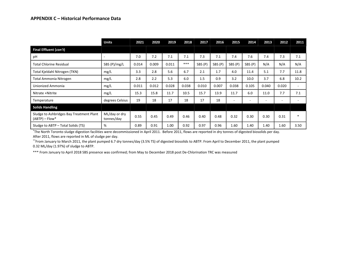|                                                              | <b>Units</b>                | 2021  | 2020  | 2019  | 2018  | 2017    | 2016    | 2015    | 2014    | 2013  | 2012  | 2011                     |
|--------------------------------------------------------------|-----------------------------|-------|-------|-------|-------|---------|---------|---------|---------|-------|-------|--------------------------|
| Final Effluent (con't)                                       |                             |       |       |       |       |         |         |         |         |       |       |                          |
| pH                                                           |                             | 7.0   | 7.2   | 7.1   | 7.1   | 7.3     | 7.1     | 7.4     | 7.6     | 7.4   | 7.3   | 7.1                      |
| <b>Total Chlorine Residual</b>                               | SBS (P)/mg/L                | 0.014 | 0.009 | 0.011 | ***   | SBS (P) | SBS (P) | SBS (P) | SBS (P) | N/A   | N/A   | N/A                      |
| Total Kjeldahl Nitrogen (TKN)                                | mg/L                        | 3.3   | 2.8   | 5.6   | 6.7   | 2.1     | 1.7     | 4.0     | 11.4    | 5.1   | 7.7   | 11.8                     |
| Total Ammonia Nitrogen                                       | mg/L                        | 2.8   | 2.2   | 5.3   | 6.0   | 1.5     | 0.9     | 3.2     | 10.0    | 3.7   | 6.8   | 10.2                     |
| Unionized Ammonia                                            | mg/L                        | 0.011 | 0.012 | 0.028 | 0.038 | 0.010   | 0.007   | 0.038   | 0.105   | 0.040 | 0.020 | $\overline{\phantom{0}}$ |
| Nitrate +Nitrite                                             | mg/L                        | 15.3  | 15.8  | 11.7  | 10.5  | 15.7    | 13.9    | 11.7    | 6.0     | 11.0  | 7.7   | 7.1                      |
| Temperature                                                  | degrees Celsius             | 19    | 18    | 17    | 18    | 17      | 18      |         |         |       |       |                          |
| <b>Solids Handling</b>                                       |                             |       |       |       |       |         |         |         |         |       |       |                          |
| Sludge to Ashbridges Bay Treatment Plant<br>$(ABTP)$ – Flow* | ML/day or dry<br>tonnes/day | 0.55  | 0.45  | 0.49  | 0.46  | 0.40    | 0.48    | 0.32    | 0.30    | 0.30  | 0.31  | $\ast$                   |
| Sludge to ABTP - Total Solids (TS)                           | %                           | 0.89  | 0.91  | 1.00  | 0.92  | 0.97    | 0.96    | 1.60    | 1.40    | 1.40  | 1.60  | 3.50                     |

<span id="page-30-0"></span>\*The North Toronto sludge digestion facilities were decommissioned in April 2011. Before 2011, flows are reported in dry tonnes of digested biosolids per day. After 2011, flows are reported in ML of sludge per day.

\*\*From January to March 2011, the plant pumped 6.7 dry tonnes/day (3.5% TS) of digested biosolids to ABTP. From April to December 2011, the plant pumped 0.32 ML/day (1.97%) of sludge to ABTP.

\*\*\* From January to April 2018 SBS presence was confirmed; from May to December 2018 post De-Chlorination TRC was measured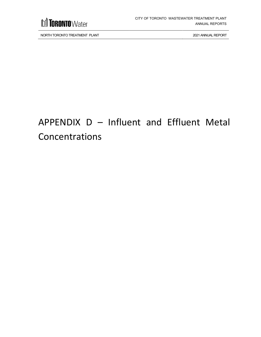

## <span id="page-31-0"></span>APPENDIX D – Influent and Effluent Metal Concentrations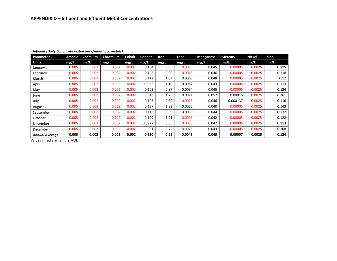| Parameter             | <b>Arsenic</b> | Cadmium | Chromium | <b>Cobalt</b> | <b>Copper</b> | Iron | Lead   | <b>Manganese</b> | <b>Mercury</b> | <b>Nickel</b> | Zinc  |
|-----------------------|----------------|---------|----------|---------------|---------------|------|--------|------------------|----------------|---------------|-------|
| Units                 | mg/L           | mg/L    | mg/L     | mg/L          | mg/L          | mg/L | mg/L   | mg/L             | mg/L           | mg/L          | mg/L  |
| January               | 0.005          | 0.002   | 0.002    | 0.002         | 0.104         | 0.85 | 0.0025 | 0.045            | 0.00005        | 0.0025        | 0.115 |
| February              | 0.005          | 0.002   | 0.002    | 0.002         | 0.108         | 0.90 | 0.0025 | 0.046            | 0.00005        | 0.0025        | 0.118 |
| March                 | 0.005          | 0.002   | 0.002    | 0.002         | 0.112         | 1.04 | 0.0065 | 0.048            | 0.00005        | 0.0025        | 0.12  |
| April                 | 0.005          | 0.002   | 0.002    | 0.002         | 0.0982        | 1.10 | 0.0062 | 0.043            | 0.00005        | 0.0025        | 0.113 |
| May                   | 0.005          | 0.002   | 0.002    | 0.002         | 0.103         | 0.87 | 0.0054 | 0.045            | 0.00005        | 0.0025        | 0.124 |
| June                  | 0.005          | 0.002   | 0.002    | 0.002         | 0.13          | 1.26 | 0.0071 | 0.057            | 0.00016        | 0.0025        | 0.161 |
| July                  | 0.005          | 0.002   | 0.002    | 0.002         | 0.103         | 0.89 | 0.0025 | 0.046            | 0.000137       | 0.0025        | 0.116 |
| August                | 0.005          | 0.002   | 0.002    | 0.002         | 0.137         | 1.32 | 0.0055 | 0.040            | 0.00005        | 0.0025        | 0.143 |
| September             | 0.005          | 0.002   | 0.002    | 0.002         | 0.113         | 0.89 | 0.0059 | 0.044            | 0.00005        | 0.0025        | 0.132 |
| October               | 0.005          | 0.002   | 0.002    | 0.002         | 0.109         | 1.21 | 0.0025 | 0.042            | 0.00005        | 0.0025        | 0.122 |
| November              | 0.005          | 0.002   | 0.002    | 0.002         | 0.0977        | 0.85 | 0.0025 | 0.042            | 0.00005        | 0.0025        | 0.113 |
| December              | 0.005          | 0.002   | 0.002    | 0.002         | 0.1           | 0.72 | 0.0025 | 0.043            | 0.00005        | 0.0025        | 0.108 |
| <b>Annual Average</b> | 0.005          | 0.002   | 0.002    | 0.002         | 0.110         | 0.99 | 0.0043 | 0.045            | 0.00007        | 0.0025        | 0.124 |

#### *Influent (Daily Composite tested once/month for metals)*

Values in red are half the MDL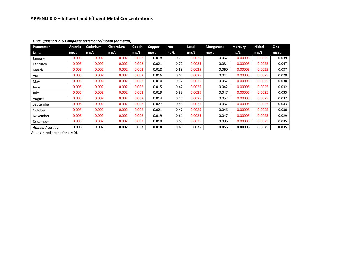| Parameter             | Arsenic | Cadmium | Chromium | <b>Cobalt</b> | <b>Copper</b> | Iron | Lead   | <b>Manganese</b> | <b>Mercury</b> | <b>Nickel</b> | Zinc  |
|-----------------------|---------|---------|----------|---------------|---------------|------|--------|------------------|----------------|---------------|-------|
| Units                 | mg/L    | mg/L    | mg/L     | mg/L          | mg/L          | mg/L | mg/L   | mg/L             | mg/L           | mg/L          | mg/L  |
| January               | 0.005   | 0.002   | 0.002    | 0.002         | 0.018         | 0.79 | 0.0025 | 0.067            | 0.00005        | 0.0025        | 0.039 |
| February              | 0.005   | 0.002   | 0.002    | 0.002         | 0.021         | 0.72 | 0.0025 | 0.084            | 0.00005        | 0.0025        | 0.047 |
| March                 | 0.005   | 0.002   | 0.002    | 0.002         | 0.018         | 0.63 | 0.0025 | 0.060            | 0.00005        | 0.0025        | 0.037 |
| April                 | 0.005   | 0.002   | 0.002    | 0.002         | 0.016         | 0.61 | 0.0025 | 0.041            | 0.00005        | 0.0025        | 0.028 |
| May                   | 0.005   | 0.002   | 0.002    | 0.002         | 0.014         | 0.37 | 0.0025 | 0.057            | 0.00005        | 0.0025        | 0.030 |
| June                  | 0.005   | 0.002   | 0.002    | 0.002         | 0.015         | 0.47 | 0.0025 | 0.042            | 0.00005        | 0.0025        | 0.032 |
| July                  | 0.005   | 0.002   | 0.002    | 0.002         | 0.019         | 0.88 | 0.0025 | 0.047            | 0.00005        | 0.0025        | 0.033 |
| August                | 0.005   | 0.002   | 0.002    | 0.002         | 0.014         | 0.46 | 0.0025 | 0.052            | 0.00005        | 0.0025        | 0.032 |
| September             | 0.005   | 0.002   | 0.002    | 0.002         | 0.027         | 0.53 | 0.0025 | 0.037            | 0.00005        | 0.0025        | 0.043 |
| October               | 0.005   | 0.002   | 0.002    | 0.002         | 0.021         | 0.47 | 0.0025 | 0.046            | 0.00005        | 0.0025        | 0.030 |
| November              | 0.005   | 0.002   | 0.002    | 0.002         | 0.019         | 0.61 | 0.0025 | 0.047            | 0.00005        | 0.0025        | 0.029 |
| December              | 0.005   | 0.002   | 0.002    | 0.002         | 0.018         | 0.65 | 0.0025 | 0.096            | 0.00005        | 0.0025        | 0.035 |
| <b>Annual Average</b> | 0.005   | 0.002   | 0.002    | 0.002         | 0.018         | 0.60 | 0.0025 | 0.056            | 0.00005        | 0.0025        | 0.035 |

#### *Final Effluent (Daily Composite tested once/month for metals)*

Values in red are half the MDL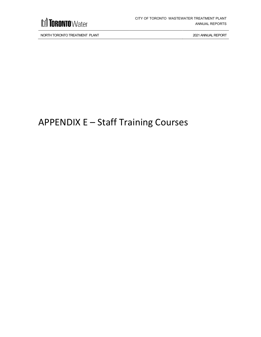

## <span id="page-34-0"></span>APPENDIX E – Staff Training Courses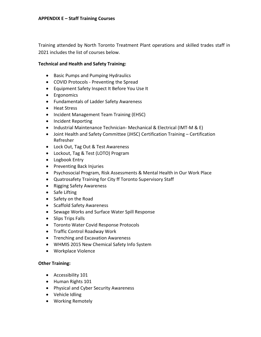Training attended by North Toronto Treatment Plant operations and skilled trades staff in 2021 includes the list of courses below.

### **Technical and Health and Safety Training:**

- Basic Pumps and Pumping Hydraulics
- COVID Protocols Preventing the Spread
- Equipment Safety Inspect It Before You Use It
- Ergonomics
- Fundamentals of Ladder Safety Awareness
- Heat Stress
- Incident Management Team Training (EHSC)
- Incident Reporting
- Industrial Maintenance Technician- Mechanical & Electrical (IMT-M & E)
- Joint Health and Safety Committee (JHSC) Certification Training Certification Refresher
- Lock Out, Tag Out & Test Awareness
- Lockout, Tag & Test (LOTO) Program
- Logbook Entry
- Preventing Back Injuries
- Psychosocial Program, Risk Assessments & Mental Health in Our Work Place
- Quatrosafety Training for City ff Toronto Supervisory Staff
- Rigging Safety Awareness
- Safe Lifting
- Safety on the Road
- Scaffold Safety Awareness
- Sewage Works and Surface Water Spill Response
- Slips Trips Falls
- Toronto Water Covid Response Protocols
- Traffic Control Roadway Work
- Trenching and Excavation Awareness
- WHMIS 2015 New Chemical Safety Info System
- Workplace Violence

### **Other Training:**

- Accessibility 101
- Human Rights 101
- Physical and Cyber Security Awareness
- Vehicle Idling
- Working Remotely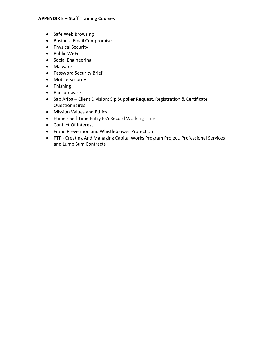### **APPENDIX E – Staff Training Courses**

- Safe Web Browsing
- Business Email Compromise
- Physical Security
- Public Wi-Fi
- Social Engineering
- Malware
- Password Security Brief
- Mobile Security
- Phishing
- Ransomware
- Sap Ariba Client Division: Slp Supplier Request, Registration & Certificate Questionnaires
- Mission Values and Ethics
- Etime Self Time Entry ESS Record Working Time
- Conflict Of Interest
- Fraud Prevention and Whistleblower Protection
- PTP Creating And Managing Capital Works Program Project, Professional Services and Lump Sum Contracts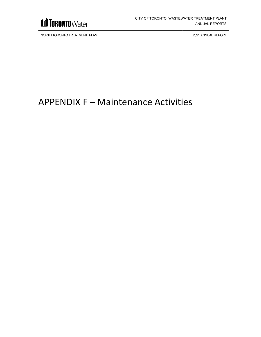

## <span id="page-37-0"></span>APPENDIX F – Maintenance Activities